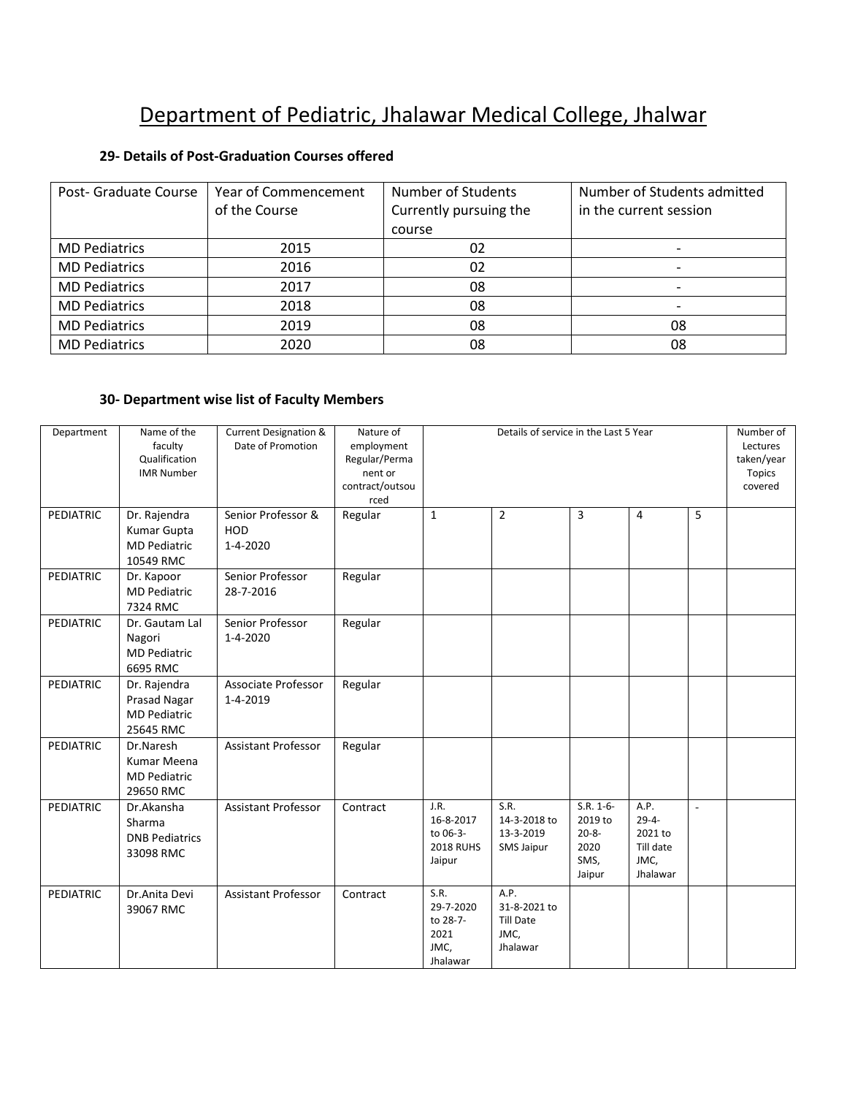## Department of Pediatric, Jhalawar Medical College, Jhalwar

## **29- Details of Post-Graduation Courses offered**

| Post- Graduate Course | Year of Commencement | <b>Number of Students</b> | Number of Students admitted |
|-----------------------|----------------------|---------------------------|-----------------------------|
|                       | of the Course        | Currently pursuing the    | in the current session      |
|                       |                      | course                    |                             |
| <b>MD Pediatrics</b>  | 2015                 | 02                        |                             |
| <b>MD Pediatrics</b>  | 2016                 | 02                        |                             |
| <b>MD Pediatrics</b>  | 2017                 | 08                        |                             |
| <b>MD Pediatrics</b>  | 2018                 | 08                        |                             |
| <b>MD Pediatrics</b>  | 2019                 | 08                        | 08                          |
| <b>MD Pediatrics</b>  | 2020                 | 08                        | 08                          |

## **30- Department wise list of Faculty Members**

| Department       | Name of the<br>faculty<br>Qualification<br><b>IMR Number</b>        | <b>Current Designation &amp;</b><br>Date of Promotion | Nature of<br>employment<br>Regular/Perma<br>nent or<br>contract/outsou<br>rced | Details of service in the Last 5 Year                       |                                                              |                                                                | Number of<br>Lectures<br>taken/year<br><b>Topics</b><br>covered |                |  |
|------------------|---------------------------------------------------------------------|-------------------------------------------------------|--------------------------------------------------------------------------------|-------------------------------------------------------------|--------------------------------------------------------------|----------------------------------------------------------------|-----------------------------------------------------------------|----------------|--|
| <b>PEDIATRIC</b> | Dr. Rajendra<br>Kumar Gupta<br><b>MD Pediatric</b><br>10549 RMC     | Senior Professor &<br>HOD<br>1-4-2020                 | Regular                                                                        | $\mathbf{1}$                                                | $\overline{2}$                                               | 3                                                              | 4                                                               | 5              |  |
| <b>PEDIATRIC</b> | Dr. Kapoor<br><b>MD Pediatric</b><br>7324 RMC                       | Senior Professor<br>28-7-2016                         | Regular                                                                        |                                                             |                                                              |                                                                |                                                                 |                |  |
| <b>PEDIATRIC</b> | Dr. Gautam Lal<br>Nagori<br><b>MD Pediatric</b><br>6695 RMC         | Senior Professor<br>1-4-2020                          | Regular                                                                        |                                                             |                                                              |                                                                |                                                                 |                |  |
| PEDIATRIC        | Dr. Rajendra<br>Prasad Nagar<br><b>MD Pediatric</b><br>25645 RMC    | Associate Professor<br>1-4-2019                       | Regular                                                                        |                                                             |                                                              |                                                                |                                                                 |                |  |
| PEDIATRIC        | Dr.Naresh<br><b>Kumar Meena</b><br><b>MD Pediatric</b><br>29650 RMC | Assistant Professor                                   | Regular                                                                        |                                                             |                                                              |                                                                |                                                                 |                |  |
| <b>PEDIATRIC</b> | Dr.Akansha<br>Sharma<br><b>DNB Pediatrics</b><br>33098 RMC          | Assistant Professor                                   | Contract                                                                       | J.R.<br>16-8-2017<br>to 06-3-<br><b>2018 RUHS</b><br>Jaipur | S.R.<br>14-3-2018 to<br>13-3-2019<br><b>SMS Jaipur</b>       | $S.R. 1-6-$<br>2019 to<br>$20 - 8 -$<br>2020<br>SMS,<br>Jaipur | A.P.<br>$29 - 4 -$<br>2021 to<br>Till date<br>JMC,<br>Jhalawar  | $\overline{a}$ |  |
| PEDIATRIC        | Dr.Anita Devi<br>39067 RMC                                          | <b>Assistant Professor</b>                            | Contract                                                                       | S.R.<br>29-7-2020<br>to 28-7-<br>2021<br>JMC,<br>Jhalawar   | A.P.<br>31-8-2021 to<br><b>Till Date</b><br>JMC,<br>Jhalawar |                                                                |                                                                 |                |  |